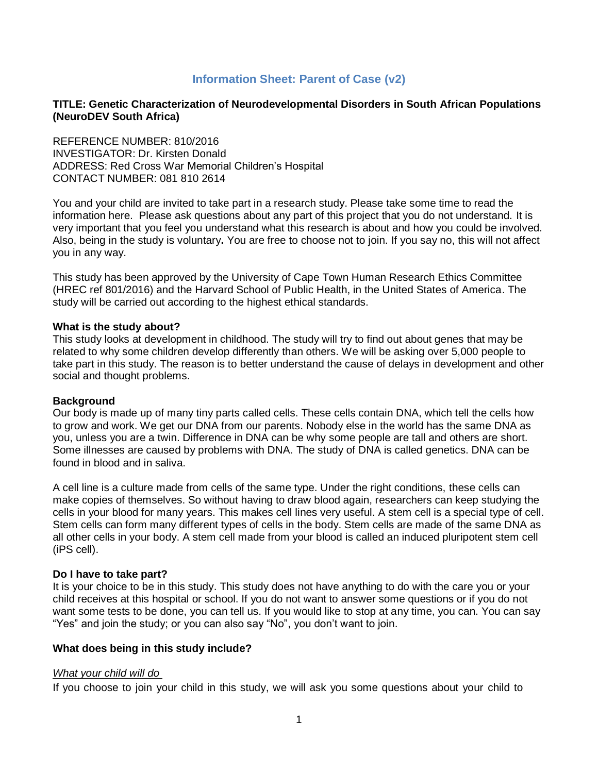# **Information Sheet: Parent of Case (v2)**

### **TITLE: Genetic Characterization of Neurodevelopmental Disorders in South African Populations (NeuroDEV South Africa)**

REFERENCE NUMBER: 810/2016 INVESTIGATOR: Dr. Kirsten Donald ADDRESS: Red Cross War Memorial Children's Hospital CONTACT NUMBER: 081 810 2614

You and your child are invited to take part in a research study. Please take some time to read the information here. Please ask questions about any part of this project that you do not understand. It is very important that you feel you understand what this research is about and how you could be involved. Also, being in the study is voluntary**.** You are free to choose not to join. If you say no, this will not affect you in any way.

This study has been approved by the University of Cape Town Human Research Ethics Committee (HREC ref 801/2016) and the Harvard School of Public Health, in the United States of America. The study will be carried out according to the highest ethical standards.

#### **What is the study about?**

This study looks at development in childhood. The study will try to find out about genes that may be related to why some children develop differently than others. We will be asking over 5,000 people to take part in this study. The reason is to better understand the cause of delays in development and other social and thought problems.

#### **Background**

Our body is made up of many tiny parts called cells. These cells contain DNA, which tell the cells how to grow and work. We get our DNA from our parents. Nobody else in the world has the same DNA as you, unless you are a twin. Difference in DNA can be why some people are tall and others are short. Some illnesses are caused by problems with DNA. The study of DNA is called genetics. DNA can be found in blood and in saliva.

A cell line is a culture made from cells of the same type. Under the right conditions, these cells can make copies of themselves. So without having to draw blood again, researchers can keep studying the cells in your blood for many years. This makes cell lines very useful. A stem cell is a special type of cell. Stem cells can form many different types of cells in the body. Stem cells are made of the same DNA as all other cells in your body. A stem cell made from your blood is called an induced pluripotent stem cell (iPS cell).

### **Do I have to take part?**

It is your choice to be in this study. This study does not have anything to do with the care you or your child receives at this hospital or school. If you do not want to answer some questions or if you do not want some tests to be done, you can tell us. If you would like to stop at any time, you can. You can say "Yes" and join the study; or you can also say "No", you don't want to join.

#### **What does being in this study include?**

#### *What your child will do*

If you choose to join your child in this study, we will ask you some questions about your child to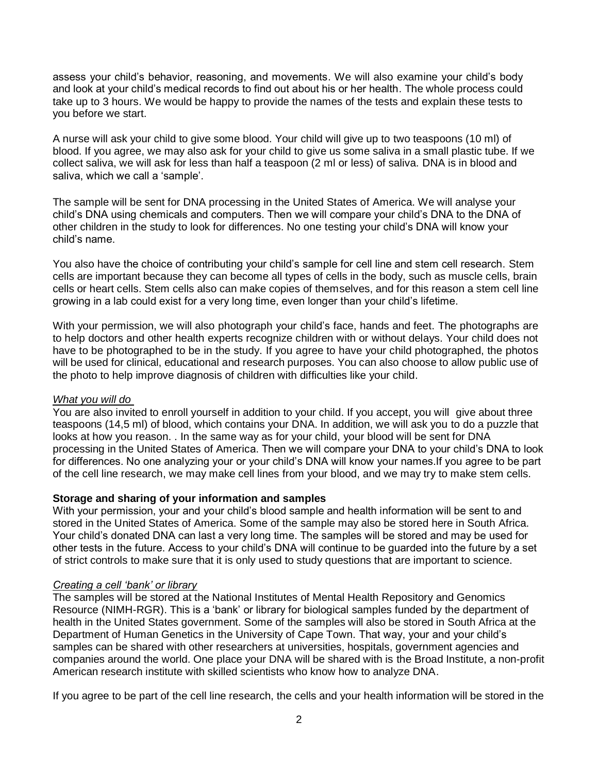assess your child's behavior, reasoning, and movements. We will also examine your child's body and look at your child's medical records to find out about his or her health. The whole process could take up to 3 hours. We would be happy to provide the names of the tests and explain these tests to you before we start.

A nurse will ask your child to give some blood. Your child will give up to two teaspoons (10 ml) of blood. If you agree, we may also ask for your child to give us some saliva in a small plastic tube. If we collect saliva, we will ask for less than half a teaspoon (2 ml or less) of saliva. DNA is in blood and saliva, which we call a 'sample'.

The sample will be sent for DNA processing in the United States of America. We will analyse your child's DNA using chemicals and computers. Then we will compare your child's DNA to the DNA of other children in the study to look for differences. No one testing your child's DNA will know your child's name.

You also have the choice of contributing your child's sample for cell line and stem cell research. Stem cells are important because they can become all types of cells in the body, such as muscle cells, brain cells or heart cells. Stem cells also can make copies of themselves, and for this reason a stem cell line growing in a lab could exist for a very long time, even longer than your child's lifetime.

With your permission, we will also photograph your child's face, hands and feet. The photographs are to help doctors and other health experts recognize children with or without delays. Your child does not have to be photographed to be in the study. If you agree to have your child photographed, the photos will be used for clinical, educational and research purposes. You can also choose to allow public use of the photo to help improve diagnosis of children with difficulties like your child.

# *What you will do*

You are also invited to enroll yourself in addition to your child. If you accept, you will give about three teaspoons (14,5 ml) of blood, which contains your DNA. In addition, we will ask you to do a puzzle that looks at how you reason. . In the same way as for your child, your blood will be sent for DNA processing in the United States of America. Then we will compare your DNA to your child's DNA to look for differences. No one analyzing your or your child's DNA will know your names.If you agree to be part of the cell line research, we may make cell lines from your blood, and we may try to make stem cells.

# **Storage and sharing of your information and samples**

With your permission, your and your child's blood sample and health information will be sent to and stored in the United States of America. Some of the sample may also be stored here in South Africa. Your child's donated DNA can last a very long time. The samples will be stored and may be used for other tests in the future. Access to your child's DNA will continue to be guarded into the future by a set of strict controls to make sure that it is only used to study questions that are important to science.

### *Creating a cell 'bank' or library*

The samples will be stored at the National Institutes of Mental Health Repository and Genomics Resource (NIMH-RGR). This is a 'bank' or library for biological samples funded by the department of health in the United States government. Some of the samples will also be stored in South Africa at the Department of Human Genetics in the University of Cape Town. That way, your and your child's samples can be shared with other researchers at universities, hospitals, government agencies and companies around the world. One place your DNA will be shared with is the Broad Institute, a non-profit American research institute with skilled scientists who know how to analyze DNA.

If you agree to be part of the cell line research, the cells and your health information will be stored in the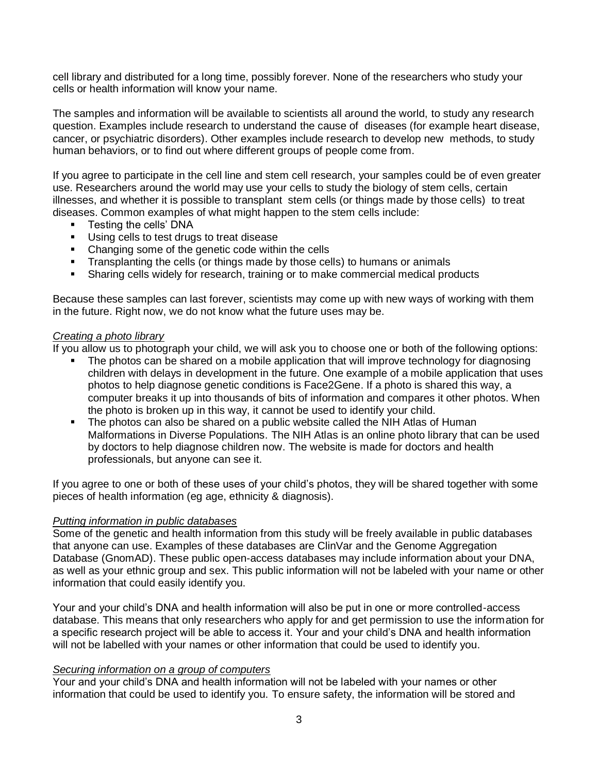cell library and distributed for a long time, possibly forever. None of the researchers who study your cells or health information will know your name.

The samples and information will be available to scientists all around the world, to study any research question. Examples include research to understand the cause of diseases (for example heart disease, cancer, or psychiatric disorders). Other examples include research to develop new methods, to study human behaviors, or to find out where different groups of people come from.

If you agree to participate in the cell line and stem cell research, your samples could be of even greater use. Researchers around the world may use your cells to study the biology of stem cells, certain illnesses, and whether it is possible to transplant stem cells (or things made by those cells) to treat diseases. Common examples of what might happen to the stem cells include:

- Testing the cells' DNA
- Using cells to test drugs to treat disease
- Changing some of the genetic code within the cells
- Transplanting the cells (or things made by those cells) to humans or animals
- **EXECT** Sharing cells widely for research, training or to make commercial medical products

Because these samples can last forever, scientists may come up with new ways of working with them in the future. Right now, we do not know what the future uses may be.

### *Creating a photo library*

If you allow us to photograph your child, we will ask you to choose one or both of the following options:

- The photos can be shared on a mobile application that will improve technology for diagnosing children with delays in development in the future. One example of a mobile application that uses photos to help diagnose genetic conditions is Face2Gene. If a photo is shared this way, a computer breaks it up into thousands of bits of information and compares it other photos. When the photo is broken up in this way, it cannot be used to identify your child.
- The photos can also be shared on a public website called the NIH Atlas of Human Malformations in Diverse Populations. The NIH Atlas is an online photo library that can be used by doctors to help diagnose children now. The website is made for doctors and health professionals, but anyone can see it.

If you agree to one or both of these uses of your child's photos, they will be shared together with some pieces of health information (eg age, ethnicity & diagnosis).

### *Putting information in public databases*

Some of the genetic and health information from this study will be freely available in public databases that anyone can use. Examples of these databases are ClinVar and the Genome Aggregation Database (GnomAD). These public open-access databases may include information about your DNA, as well as your ethnic group and sex. This public information will not be labeled with your name or other information that could easily identify you.

Your and your child's DNA and health information will also be put in one or more controlled-access database. This means that only researchers who apply for and get permission to use the information for a specific research project will be able to access it. Your and your child's DNA and health information will not be labelled with your names or other information that could be used to identify you.

### *Securing information on a group of computers*

Your and your child's DNA and health information will not be labeled with your names or other information that could be used to identify you. To ensure safety, the information will be stored and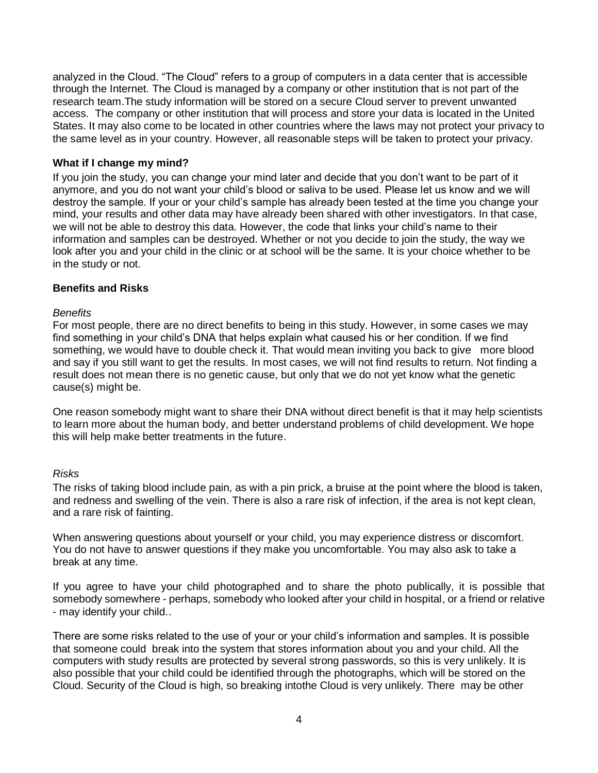analyzed in the Cloud. "The Cloud" refers to a group of computers in a data center that is accessible through the Internet. The Cloud is managed by a company or other institution that is not part of the research team.The study information will be stored on a secure Cloud server to prevent unwanted access. The company or other institution that will process and store your data is located in the United States. It may also come to be located in other countries where the laws may not protect your privacy to the same level as in your country. However, all reasonable steps will be taken to protect your privacy.

## **What if I change my mind?**

If you join the study, you can change your mind later and decide that you don't want to be part of it anymore, and you do not want your child's blood or saliva to be used. Please let us know and we will destroy the sample. If your or your child's sample has already been tested at the time you change your mind, your results and other data may have already been shared with other investigators. In that case, we will not be able to destroy this data. However, the code that links your child's name to their information and samples can be destroyed. Whether or not you decide to join the study, the way we look after you and your child in the clinic or at school will be the same. It is your choice whether to be in the study or not.

### **Benefits and Risks**

### *Benefits*

For most people, there are no direct benefits to being in this study. However, in some cases we may find something in your child's DNA that helps explain what caused his or her condition. If we find something, we would have to double check it. That would mean inviting you back to give more blood and say if you still want to get the results. In most cases, we will not find results to return. Not finding a result does not mean there is no genetic cause, but only that we do not yet know what the genetic cause(s) might be.

One reason somebody might want to share their DNA without direct benefit is that it may help scientists to learn more about the human body, and better understand problems of child development. We hope this will help make better treatments in the future.

### *Risks*

The risks of taking blood include pain, as with a pin prick, a bruise at the point where the blood is taken, and redness and swelling of the vein. There is also a rare risk of infection, if the area is not kept clean, and a rare risk of fainting.

When answering questions about yourself or your child, you may experience distress or discomfort. You do not have to answer questions if they make you uncomfortable. You may also ask to take a break at any time.

If you agree to have your child photographed and to share the photo publically, it is possible that somebody somewhere - perhaps, somebody who looked after your child in hospital, or a friend or relative - may identify your child..

There are some risks related to the use of your or your child's information and samples. It is possible that someone could break into the system that stores information about you and your child. All the computers with study results are protected by several strong passwords, so this is very unlikely. It is also possible that your child could be identified through the photographs, which will be stored on the Cloud. Security of the Cloud is high, so breaking intothe Cloud is very unlikely. There may be other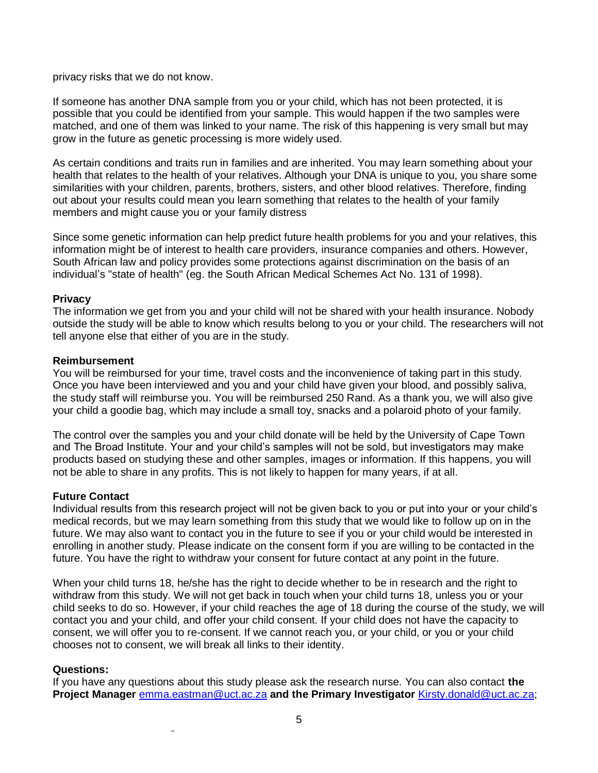privacy risks that we do not know.

If someone has another DNA sample from you or your child, which has not been protected, it is possible that you could be identified from your sample. This would happen if the two samples were matched, and one of them was linked to your name. The risk of this happening is very small but may grow in the future as genetic processing is more widely used.

As certain conditions and traits run in families and are inherited. You may learn something about your health that relates to the health of your relatives. Although your DNA is unique to you, you share some similarities with your children, parents, brothers, sisters, and other blood relatives. Therefore, finding out about your results could mean you learn something that relates to the health of your family members and might cause you or your family distress

Since some genetic information can help predict future health problems for you and your relatives, this information might be of interest to health care providers, insurance companies and others. However, South African law and policy provides some protections against discrimination on the basis of an individual's "state of health" (eg. the South African Medical Schemes Act No. 131 of 1998).

## **Privacy**

The information we get from you and your child will not be shared with your health insurance. Nobody outside the study will be able to know which results belong to you or your child. The researchers will not tell anyone else that either of you are in the study.

## **Reimbursement**

You will be reimbursed for your time, travel costs and the inconvenience of taking part in this study. Once you have been interviewed and you and your child have given your blood, and possibly saliva, the study staff will reimburse you. You will be reimbursed 250 Rand. As a thank you, we will also give your child a goodie bag, which may include a small toy, snacks and a polaroid photo of your family.

The control over the samples you and your child donate will be held by the University of Cape Town and The Broad Institute. Your and your child's samples will not be sold, but investigators may make products based on studying these and other samples, images or information. If this happens, you will not be able to share in any profits. This is not likely to happen for many years, if at all.

# **Future Contact**

Individual results from this research project will not be given back to you or put into your or your child's medical records, but we may learn something from this study that we would like to follow up on in the future. We may also want to contact you in the future to see if you or your child would be interested in enrolling in another study. Please indicate on the consent form if you are willing to be contacted in the future. You have the right to withdraw your consent for future contact at any point in the future.

When your child turns 18, he/she has the right to decide whether to be in research and the right to withdraw from this study. We will not get back in touch when your child turns 18, unless you or your child seeks to do so. However, if your child reaches the age of 18 during the course of the study, we will contact you and your child, and offer your child consent. If your child does not have the capacity to consent, we will offer you to re-consent. If we cannot reach you, or your child, or you or your child chooses not to consent, we will break all links to their identity.

# **Questions:**

If you have any questions about this study please ask the research nurse. You can also contact **the Project Manager** [emma.eastman@uct.ac.za](mailto:emma.eastman@uct.ac.za) **and the Primary Investigator** [Kirsty.donald@uct.ac.za;](mailto:Kirsty.donald@uct.ac.za)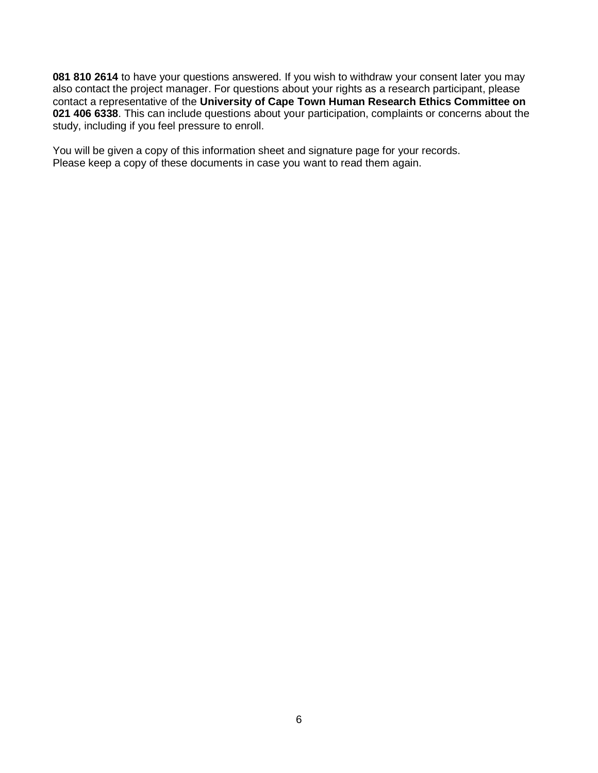**081 810 2614** to have your questions answered. If you wish to withdraw your consent later you may also contact the project manager. For questions about your rights as a research participant, please contact a representative of the **University of Cape Town Human Research Ethics Committee on 021 406 6338**. This can include questions about your participation, complaints or concerns about the study, including if you feel pressure to enroll.

You will be given a copy of this information sheet and signature page for your records. Please keep a copy of these documents in case you want to read them again.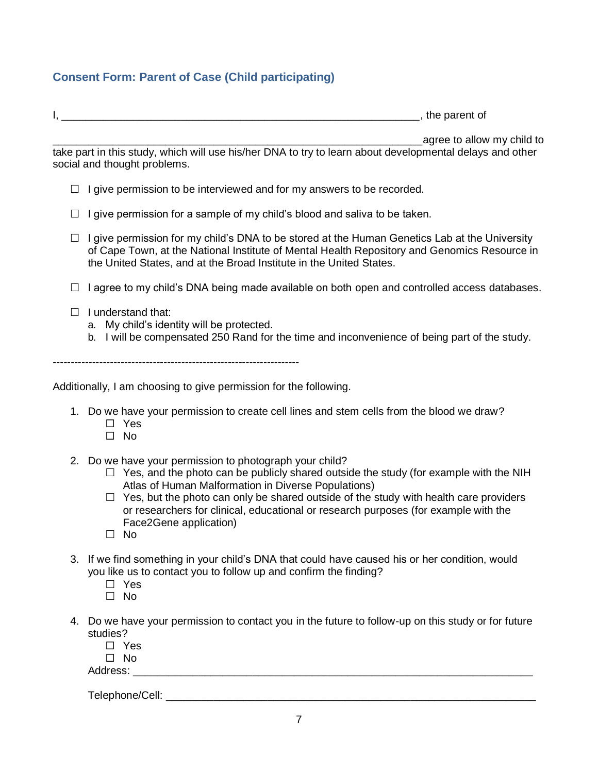# **Consent Form: Parent of Case (Child participating)**

 $I,$   $\qquad \qquad \qquad$ 

\_\_\_\_\_\_\_\_\_\_\_\_\_\_\_\_\_\_\_\_\_\_\_\_\_\_\_\_\_\_\_\_\_\_\_\_\_\_\_\_\_\_\_\_\_\_\_\_\_\_\_\_\_\_\_\_\_\_\_\_\_\_agree to allow my child to

take part in this study, which will use his/her DNA to try to learn about developmental delays and other social and thought problems.

- $\Box$  I give permission to be interviewed and for my answers to be recorded.
- $\Box$  I give permission for a sample of my child's blood and saliva to be taken.
- $\Box$  I give permission for my child's DNA to be stored at the Human Genetics Lab at the University of Cape Town, at the National Institute of Mental Health Repository and Genomics Resource in the United States, and at the Broad Institute in the United States.
- $\Box$  I agree to my child's DNA being made available on both open and controlled access databases.
- $\Box$  I understand that:
	- a. My child's identity will be protected.
	- b. I will be compensated 250 Rand for the time and inconvenience of being part of the study.

---------------------------------------------------------------------

Additionally, I am choosing to give permission for the following.

- 1. Do we have your permission to create cell lines and stem cells from the blood we draw?
	- Yes
	- $\square$  No
- 2. Do we have your permission to photograph your child?
	- $\Box$  Yes, and the photo can be publicly shared outside the study (for example with the NIH Atlas of Human Malformation in Diverse Populations)
	- $\Box$  Yes, but the photo can only be shared outside of the study with health care providers or researchers for clinical, educational or research purposes (for example with the Face2Gene application)
	- $\Box$  No
- 3. If we find something in your child's DNA that could have caused his or her condition, would you like us to contact you to follow up and confirm the finding?
	- □ Yes
	- $\Box$  No
- 4. Do we have your permission to contact you in the future to follow-up on this study or for future studies?
	- □ Yes
	- $\Box$  No

Address: \_\_\_\_\_\_\_\_\_\_\_\_\_\_\_\_\_\_\_\_\_\_\_\_\_\_\_\_\_\_\_\_\_\_\_\_\_\_\_\_\_\_\_\_\_\_\_\_\_\_\_\_\_\_\_\_\_\_\_\_\_\_\_\_\_\_\_

Telephone/Cell: \_\_\_\_\_\_\_\_\_\_\_\_\_\_\_\_\_\_\_\_\_\_\_\_\_\_\_\_\_\_\_\_\_\_\_\_\_\_\_\_\_\_\_\_\_\_\_\_\_\_\_\_\_\_\_\_\_\_\_\_\_\_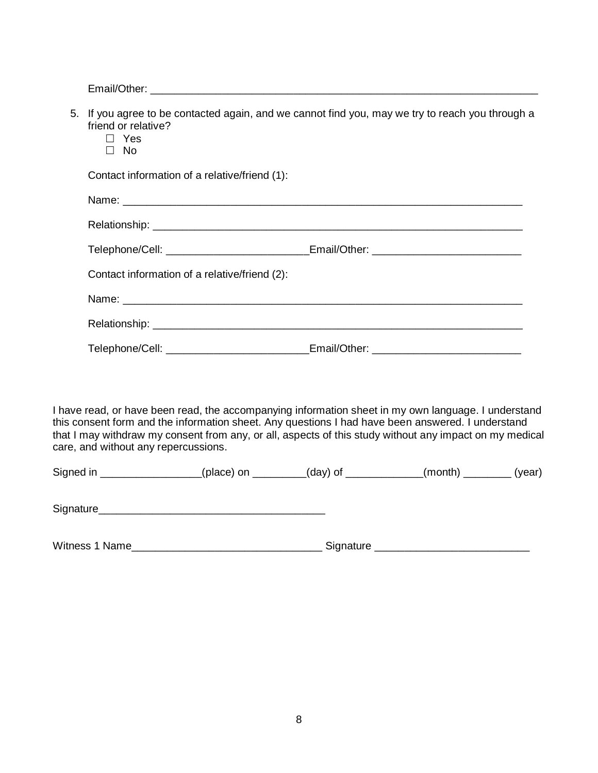Email/Other: \_\_\_\_\_\_\_\_\_\_\_\_\_\_\_\_\_\_\_\_\_\_\_\_\_\_\_\_\_\_\_\_\_\_\_\_\_\_\_\_\_\_\_\_\_\_\_\_\_\_\_\_\_\_\_\_\_\_\_\_\_\_\_\_\_

| 5. If you agree to be contacted again, and we cannot find you, may we try to reach you through a<br>friend or relative?<br>$\Box$ Yes<br>$\Box$ No |                                                                                  |  |  |  |  |
|----------------------------------------------------------------------------------------------------------------------------------------------------|----------------------------------------------------------------------------------|--|--|--|--|
| Contact information of a relative/friend (1):                                                                                                      |                                                                                  |  |  |  |  |
|                                                                                                                                                    |                                                                                  |  |  |  |  |
|                                                                                                                                                    |                                                                                  |  |  |  |  |
|                                                                                                                                                    | Telephone/Cell: _______________________Email/Other: ____________________________ |  |  |  |  |
| Contact information of a relative/friend (2):                                                                                                      |                                                                                  |  |  |  |  |
|                                                                                                                                                    |                                                                                  |  |  |  |  |
|                                                                                                                                                    |                                                                                  |  |  |  |  |
| Telephone/Cell: ________________________Email/Other: ___________________________                                                                   |                                                                                  |  |  |  |  |
|                                                                                                                                                    |                                                                                  |  |  |  |  |

I have read, or have been read, the accompanying information sheet in my own language. I understand this consent form and the information sheet. Any questions I had have been answered. I understand that I may withdraw my consent from any, or all, aspects of this study without any impact on my medical care, and without any repercussions.

| Signed in | (place) on | $(day)$ of | (month) | (year) |
|-----------|------------|------------|---------|--------|
|           |            |            |         |        |

Signature\_\_\_\_\_\_\_\_\_\_\_\_\_\_\_\_\_\_\_\_\_\_\_\_\_\_\_\_\_\_\_\_\_\_\_\_\_\_

Witness 1 Name\_\_\_\_\_\_\_\_\_\_\_\_\_\_\_\_\_\_\_\_\_\_\_\_\_\_\_\_\_\_\_\_ Signature \_\_\_\_\_\_\_\_\_\_\_\_\_\_\_\_\_\_\_\_\_\_\_\_\_\_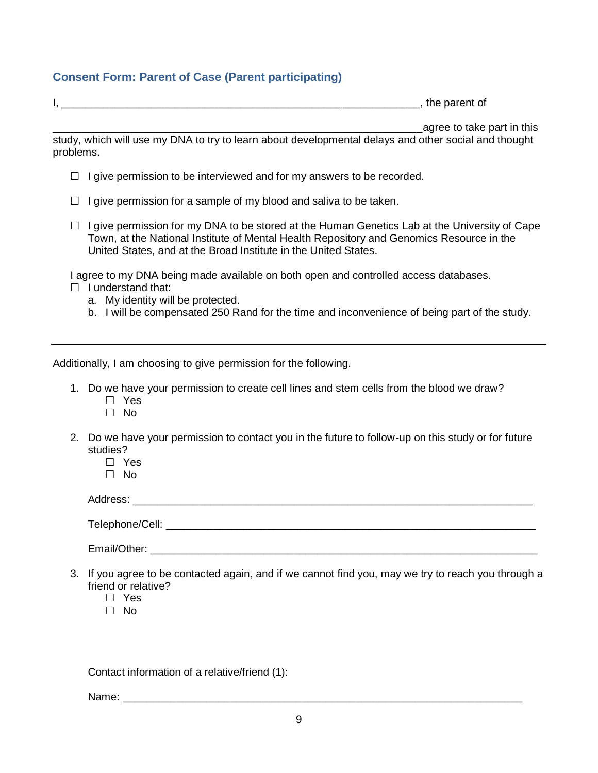# **Consent Form: Parent of Case (Parent participating)**

| the nai<br><i><u>ront</u></i><br>.<br>. . |
|-------------------------------------------|
|-------------------------------------------|

agree to take part in this

study, which will use my DNA to try to learn about developmental delays and other social and thought problems.

- $\Box$  I give permission to be interviewed and for my answers to be recorded.
- $\Box$  I give permission for a sample of my blood and saliva to be taken.
- $\Box$  I give permission for my DNA to be stored at the Human Genetics Lab at the University of Cape Town, at the National Institute of Mental Health Repository and Genomics Resource in the United States, and at the Broad Institute in the United States.

I agree to my DNA being made available on both open and controlled access databases.

- $\Box$  I understand that:
	- a. My identity will be protected.
	- b. I will be compensated 250 Rand for the time and inconvenience of being part of the study.

Additionally, I am choosing to give permission for the following.

- 1. Do we have your permission to create cell lines and stem cells from the blood we draw?
	- Yes
	- $\Box$  No
- 2. Do we have your permission to contact you in the future to follow-up on this study or for future studies?
	- Yes
	- $\Box$  No

Address: \_\_\_\_\_\_\_\_\_\_\_\_\_\_\_\_\_\_\_\_\_\_\_\_\_\_\_\_\_\_\_\_\_\_\_\_\_\_\_\_\_\_\_\_\_\_\_\_\_\_\_\_\_\_\_\_\_\_\_\_\_\_\_\_\_\_\_

 $\sf Telephone/Cell:$ 

Email/Other: \_\_\_\_\_\_\_\_\_\_\_\_\_\_\_\_\_\_\_\_\_\_\_\_\_\_\_\_\_\_\_\_\_\_\_\_\_\_\_\_\_\_\_\_\_\_\_\_\_\_\_\_\_\_\_\_\_\_\_\_\_\_\_\_\_

- 3. If you agree to be contacted again, and if we cannot find you, may we try to reach you through a friend or relative?
	- Yes
	- $\Box$  No.

Contact information of a relative/friend (1):

Name:  $\Box$